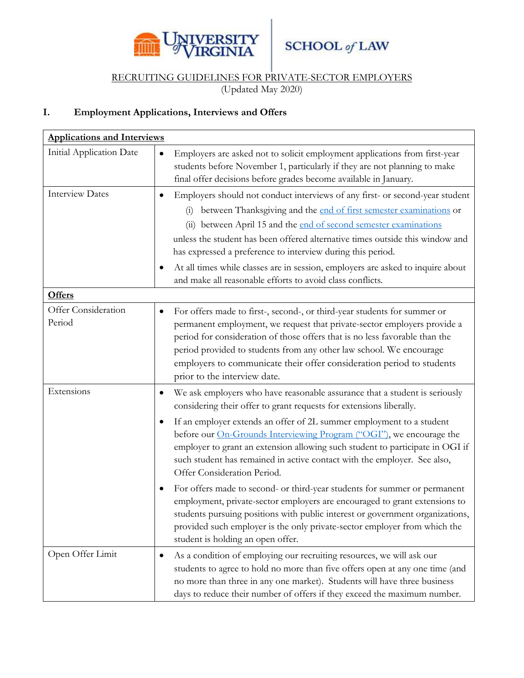

## RECRUITING GUIDELINES FOR PRIVATE-SECTOR EMPLOYERS

(Updated May 2020)

## **I. Employment Applications, Interviews and Offers**

| <b>Applications and Interviews</b> |                                                                                                                                                                                                                                                                                                                                                                                                                                                                                                                                                                        |
|------------------------------------|------------------------------------------------------------------------------------------------------------------------------------------------------------------------------------------------------------------------------------------------------------------------------------------------------------------------------------------------------------------------------------------------------------------------------------------------------------------------------------------------------------------------------------------------------------------------|
| Initial Application Date           | Employers are asked not to solicit employment applications from first-year<br>$\bullet$<br>students before November 1, particularly if they are not planning to make<br>final offer decisions before grades become available in January.                                                                                                                                                                                                                                                                                                                               |
| <b>Interview Dates</b>             | Employers should not conduct interviews of any first- or second-year student<br>$\bullet$<br>between Thanksgiving and the end of first semester examinations or<br>$\left( 1\right)$<br>(ii) between April 15 and the end of second semester examinations<br>unless the student has been offered alternative times outside this window and<br>has expressed a preference to interview during this period.<br>At all times while classes are in session, employers are asked to inquire about<br>$\bullet$<br>and make all reasonable efforts to avoid class conflicts. |
| <b>Offers</b>                      |                                                                                                                                                                                                                                                                                                                                                                                                                                                                                                                                                                        |
| Offer Consideration<br>Period      | For offers made to first-, second-, or third-year students for summer or<br>$\bullet$<br>permanent employment, we request that private-sector employers provide a<br>period for consideration of those offers that is no less favorable than the<br>period provided to students from any other law school. We encourage<br>employers to communicate their offer consideration period to students<br>prior to the interview date.                                                                                                                                       |
| Extensions                         | We ask employers who have reasonable assurance that a student is seriously<br>$\bullet$<br>considering their offer to grant requests for extensions liberally.                                                                                                                                                                                                                                                                                                                                                                                                         |
|                                    | If an employer extends an offer of 2L summer employment to a student<br>$\bullet$<br>before our <b>On-Grounds Interviewing Program</b> ("OGI"), we encourage the<br>employer to grant an extension allowing such student to participate in OGI if<br>such student has remained in active contact with the employer. See also,<br>Offer Consideration Period.                                                                                                                                                                                                           |
|                                    | For offers made to second- or third-year students for summer or permanent<br>$\bullet$<br>employment, private-sector employers are encouraged to grant extensions to<br>students pursuing positions with public interest or government organizations,<br>provided such employer is the only private-sector employer from which the<br>student is holding an open offer.                                                                                                                                                                                                |
| Open Offer Limit                   | As a condition of employing our recruiting resources, we will ask our<br>$\bullet$<br>students to agree to hold no more than five offers open at any one time (and<br>no more than three in any one market). Students will have three business<br>days to reduce their number of offers if they exceed the maximum number.                                                                                                                                                                                                                                             |